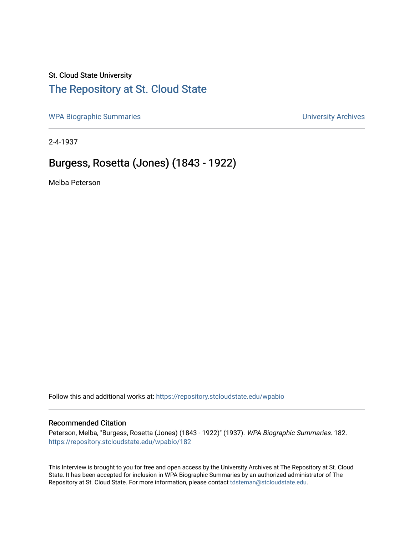### St. Cloud State University

### [The Repository at St. Cloud State](https://repository.stcloudstate.edu/)

[WPA Biographic Summaries](https://repository.stcloudstate.edu/wpabio) **WPA Biographic Summaries University Archives** 

2-4-1937

## Burgess, Rosetta (Jones) (1843 - 1922)

Melba Peterson

Follow this and additional works at: [https://repository.stcloudstate.edu/wpabio](https://repository.stcloudstate.edu/wpabio?utm_source=repository.stcloudstate.edu%2Fwpabio%2F182&utm_medium=PDF&utm_campaign=PDFCoverPages) 

#### Recommended Citation

Peterson, Melba, "Burgess, Rosetta (Jones) (1843 - 1922)" (1937). WPA Biographic Summaries. 182. [https://repository.stcloudstate.edu/wpabio/182](https://repository.stcloudstate.edu/wpabio/182?utm_source=repository.stcloudstate.edu%2Fwpabio%2F182&utm_medium=PDF&utm_campaign=PDFCoverPages) 

This Interview is brought to you for free and open access by the University Archives at The Repository at St. Cloud State. It has been accepted for inclusion in WPA Biographic Summaries by an authorized administrator of The Repository at St. Cloud State. For more information, please contact [tdsteman@stcloudstate.edu.](mailto:tdsteman@stcloudstate.edu)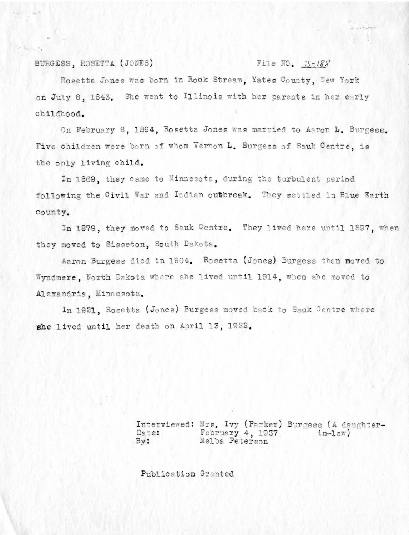BURGESS, ROSETTA (JONES)

#### File NO.  $B-188$

Rosetta Jones was born in Rock Stream, Yates County, New York on July 8, 1843. She went to Illinois with her parents in her early childhood.

On February 8, 1864, Rosetta Jones was married to Aaron L. Burgess. Five children were born of whom Vernon L. Burgess of Sauk Centre, is the only living child.

In 1869, they came to Minnesota, during the turbulent period following the Civil War and Indian outbreak. They settled in Blue Earth county.

In 1879, they moved to Sauk Centre. They lived here until 1897, when they moved to Sisseton, South Dakota.

Aaron Burgess died in 1904. Rosetta (Jones) Burgess then moved to Wyndmere, North Dakota where she lived until 1914, when she moved to Alexandria, Minnesota.

In 1921, Rosetta (Jones) Burgess moved back to Sauk Centre where she lived until her death on April 13, 1922.

> Interviewed: Mrs. Ivy (Parker) Burgess (A daughter-Date: February 4, 1937  $in-1$  $av)$  $By:$ Melba Peterson

Publication Granted